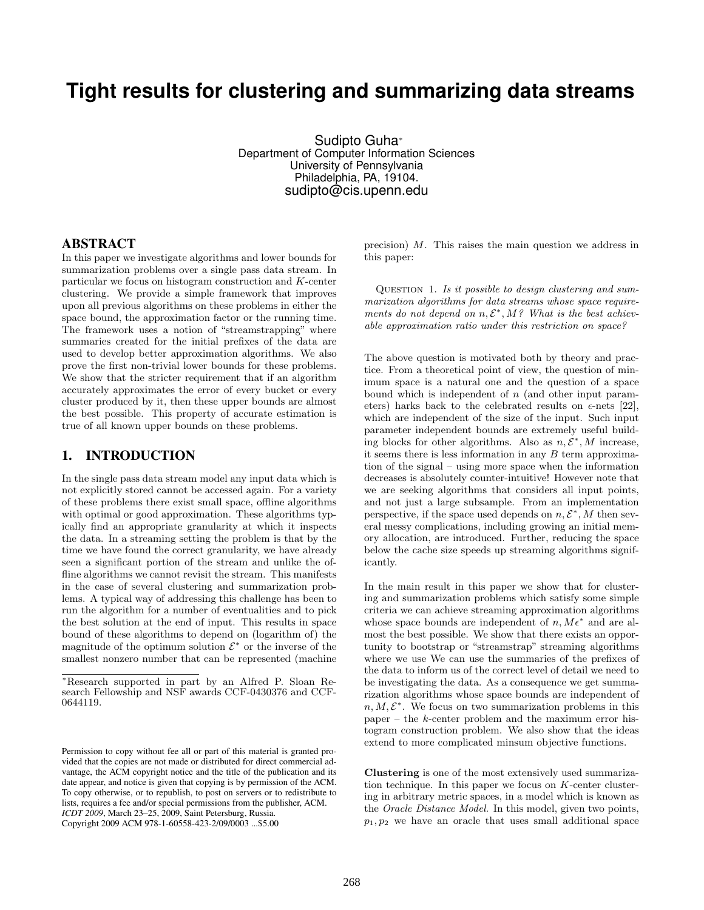# **Tight results for clustering and summarizing data streams**

Sudipto Guha<sup>∗</sup> Department of Computer Information Sciences University of Pennsylvania Philadelphia, PA, 19104. sudipto@cis.upenn.edu

## ABSTRACT

In this paper we investigate algorithms and lower bounds for summarization problems over a single pass data stream. In particular we focus on histogram construction and K-center clustering. We provide a simple framework that improves upon all previous algorithms on these problems in either the space bound, the approximation factor or the running time. The framework uses a notion of "streamstrapping" where summaries created for the initial prefixes of the data are used to develop better approximation algorithms. We also prove the first non-trivial lower bounds for these problems. We show that the stricter requirement that if an algorithm accurately approximates the error of every bucket or every cluster produced by it, then these upper bounds are almost the best possible. This property of accurate estimation is true of all known upper bounds on these problems.

# 1. INTRODUCTION

In the single pass data stream model any input data which is not explicitly stored cannot be accessed again. For a variety of these problems there exist small space, offline algorithms with optimal or good approximation. These algorithms typically find an appropriate granularity at which it inspects the data. In a streaming setting the problem is that by the time we have found the correct granularity, we have already seen a significant portion of the stream and unlike the offline algorithms we cannot revisit the stream. This manifests in the case of several clustering and summarization problems. A typical way of addressing this challenge has been to run the algorithm for a number of eventualities and to pick the best solution at the end of input. This results in space bound of these algorithms to depend on (logarithm of) the magnitude of the optimum solution  $\mathcal{E}^*$  or the inverse of the smallest nonzero number that can be represented (machine

precision) M. This raises the main question we address in this paper:

Question 1. Is it possible to design clustering and summarization algorithms for data streams whose space requirements do not depend on  $n, \mathcal{E}^*, M$ ? What is the best achievable approximation ratio under this restriction on space?

The above question is motivated both by theory and practice. From a theoretical point of view, the question of minimum space is a natural one and the question of a space bound which is independent of  $n$  (and other input parameters) harks back to the celebrated results on  $\epsilon$ -nets [22], which are independent of the size of the input. Such input parameter independent bounds are extremely useful building blocks for other algorithms. Also as  $n, \mathcal{E}^*, M$  increase, it seems there is less information in any  $B$  term approximation of the signal – using more space when the information decreases is absolutely counter-intuitive! However note that we are seeking algorithms that considers all input points, and not just a large subsample. From an implementation perspective, if the space used depends on  $n, \mathcal{E}^*, M$  then several messy complications, including growing an initial memory allocation, are introduced. Further, reducing the space below the cache size speeds up streaming algorithms significantly.

In the main result in this paper we show that for clustering and summarization problems which satisfy some simple criteria we can achieve streaming approximation algorithms whose space bounds are independent of  $n, M\epsilon^*$  and are almost the best possible. We show that there exists an opportunity to bootstrap or "streamstrap" streaming algorithms where we use We can use the summaries of the prefixes of the data to inform us of the correct level of detail we need to be investigating the data. As a consequence we get summarization algorithms whose space bounds are independent of  $n, M, \mathcal{E}^*$ . We focus on two summarization problems in this paper – the  $k$ -center problem and the maximum error histogram construction problem. We also show that the ideas extend to more complicated minsum objective functions.

Clustering is one of the most extensively used summarization technique. In this paper we focus on  $K$ -center clustering in arbitrary metric spaces, in a model which is known as the Oracle Distance Model. In this model, given two points,  $p_1, p_2$  we have an oracle that uses small additional space

<sup>∗</sup>Research supported in part by an Alfred P. Sloan Research Fellowship and NSF awards CCF-0430376 and CCF-0644119.

Permission to copy without fee all or part of this material is granted provided that the copies are not made or distributed for direct commercial advantage, the ACM copyright notice and the title of the publication and its date appear, and notice is given that copying is by permission of the ACM. To copy otherwise, or to republish, to post on servers or to redistribute to lists, requires a fee and/or special permissions from the publisher, ACM. *ICDT 2009*, March 23–25, 2009, Saint Petersburg, Russia. Copyright 2009 ACM 978-1-60558-423-2/09/0003 ...\$5.00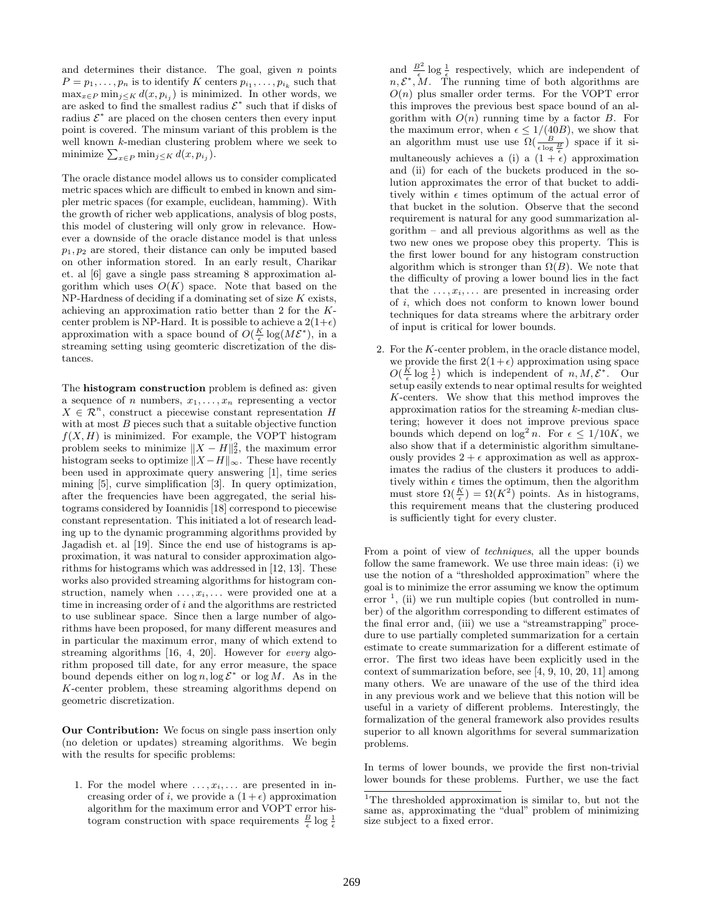and determines their distance. The goal, given  $n$  points  $P = p_1, \ldots, p_n$  is to identify K centers  $p_{i_1}, \ldots, p_{i_k}$  such that  $\max_{x \in P} \min_{j \leq K} d(x, p_{i_j})$  is minimized. In other words, we are asked to find the smallest radius  $\mathcal{E}^*$  such that if disks of radius  $\mathcal{E}^*$  are placed on the chosen centers then every input point is covered. The minsum variant of this problem is the well known k-median clustering problem where we seek to minimize  $\sum_{x \in P} \min_{j \leq K} d(x, p_{i_j}).$ 

The oracle distance model allows us to consider complicated metric spaces which are difficult to embed in known and simpler metric spaces (for example, euclidean, hamming). With the growth of richer web applications, analysis of blog posts, this model of clustering will only grow in relevance. However a downside of the oracle distance model is that unless  $p_1, p_2$  are stored, their distance can only be imputed based on other information stored. In an early result, Charikar et. al [6] gave a single pass streaming 8 approximation algorithm which uses  $O(K)$  space. Note that based on the  $NP$ -Hardness of deciding if a dominating set of size  $K$  exists, achieving an approximation ratio better than 2 for the Kcenter problem is NP-Hard. It is possible to achieve a  $2(1+\epsilon)$ approximation with a space bound of  $O(\frac{K}{\epsilon} \log(M\mathcal{E}^*))$ , in a streaming setting using geomteric discretization of the distances.

The histogram construction problem is defined as: given a sequence of n numbers,  $x_1, \ldots, x_n$  representing a vector  $X \in \mathcal{R}^n$ , construct a piecewise constant representation H with at most  $B$  pieces such that a suitable objective function  $f(X, H)$  is minimized. For example, the VOPT histogram problem seeks to minimize  $||X - H||_2^2$ , the maximum error histogram seeks to optimize  $||X - H||_{\infty}$ . These have recently been used in approximate query answering [1], time series mining [5], curve simplification [3]. In query optimization, after the frequencies have been aggregated, the serial histograms considered by Ioannidis [18] correspond to piecewise constant representation. This initiated a lot of research leading up to the dynamic programming algorithms provided by Jagadish et. al [19]. Since the end use of histograms is approximation, it was natural to consider approximation algorithms for histograms which was addressed in [12, 13]. These works also provided streaming algorithms for histogram construction, namely when  $\dots, x_i, \dots$  were provided one at a time in increasing order of  $i$  and the algorithms are restricted to use sublinear space. Since then a large number of algorithms have been proposed, for many different measures and in particular the maximum error, many of which extend to streaming algorithms [16, 4, 20]. However for every algorithm proposed till date, for any error measure, the space bound depends either on  $\log n$ ,  $\log \mathcal{E}^*$  or  $\log M$ . As in the K-center problem, these streaming algorithms depend on geometric discretization.

Our Contribution: We focus on single pass insertion only (no deletion or updates) streaming algorithms. We begin with the results for specific problems:

1. For the model where  $\dots, x_i, \dots$  are presented in increasing order of i, we provide a  $(1+\epsilon)$  approximation algorithm for the maximum error and VOPT error histogram construction with space requirements  $\frac{B}{\epsilon} \log \frac{1}{\epsilon}$ 

and  $\frac{B^2}{\epsilon} \log \frac{1}{\epsilon}$  respectively, which are independent of  $n, \mathcal{E}^*, \mathcal{M}$ . The running time of both algorithms are  $O(n)$  plus smaller order terms. For the VOPT error this improves the previous best space bound of an algorithm with  $O(n)$  running time by a factor B. For the maximum error, when  $\epsilon \leq 1/(40B)$ , we show that an algorithm must use use  $\Omega(\frac{B}{\epsilon \log \frac{B}{\epsilon}})$  space if it simultaneously achieves a (i) a  $(1 + \epsilon)$  approximation and (ii) for each of the buckets produced in the solution approximates the error of that bucket to additively within  $\epsilon$  times optimum of the actual error of that bucket in the solution. Observe that the second requirement is natural for any good summarization algorithm – and all previous algorithms as well as the two new ones we propose obey this property. This is the first lower bound for any histogram construction algorithm which is stronger than  $\Omega(B)$ . We note that the difficulty of proving a lower bound lies in the fact that the  $\dots, x_i, \dots$  are presented in increasing order of i, which does not conform to known lower bound techniques for data streams where the arbitrary order of input is critical for lower bounds.

2. For the K-center problem, in the oracle distance model, we provide the first  $2(1+\epsilon)$  approximation using space  $O(\frac{K}{\epsilon} \log \frac{1}{\epsilon})$  which is independent of  $n, M, \mathcal{E}^*$ . Our setup easily extends to near optimal results for weighted K-centers. We show that this method improves the approximation ratios for the streaming k-median clustering; however it does not improve previous space bounds which depend on  $\log^2 n$ . For  $\epsilon \leq 1/10K$ , we also show that if a deterministic algorithm simultaneously provides  $2 + \epsilon$  approximation as well as approximates the radius of the clusters it produces to additively within  $\epsilon$  times the optimum, then the algorithm must store  $\Omega(\frac{K}{\epsilon}) = \Omega(K^2)$  points. As in histograms, this requirement means that the clustering produced is sufficiently tight for every cluster.

From a point of view of techniques, all the upper bounds follow the same framework. We use three main ideas: (i) we use the notion of a "thresholded approximation" where the goal is to minimize the error assuming we know the optimum error  $\frac{1}{1}$ , (ii) we run multiple copies (but controlled in number) of the algorithm corresponding to different estimates of the final error and, (iii) we use a "streamstrapping" procedure to use partially completed summarization for a certain estimate to create summarization for a different estimate of error. The first two ideas have been explicitly used in the context of summarization before, see [4, 9, 10, 20, 11] among many others. We are unaware of the use of the third idea in any previous work and we believe that this notion will be useful in a variety of different problems. Interestingly, the formalization of the general framework also provides results superior to all known algorithms for several summarization problems.

In terms of lower bounds, we provide the first non-trivial lower bounds for these problems. Further, we use the fact

<sup>&</sup>lt;sup>1</sup>The thresholded approximation is similar to, but not the same as, approximating the "dual" problem of minimizing size subject to a fixed error.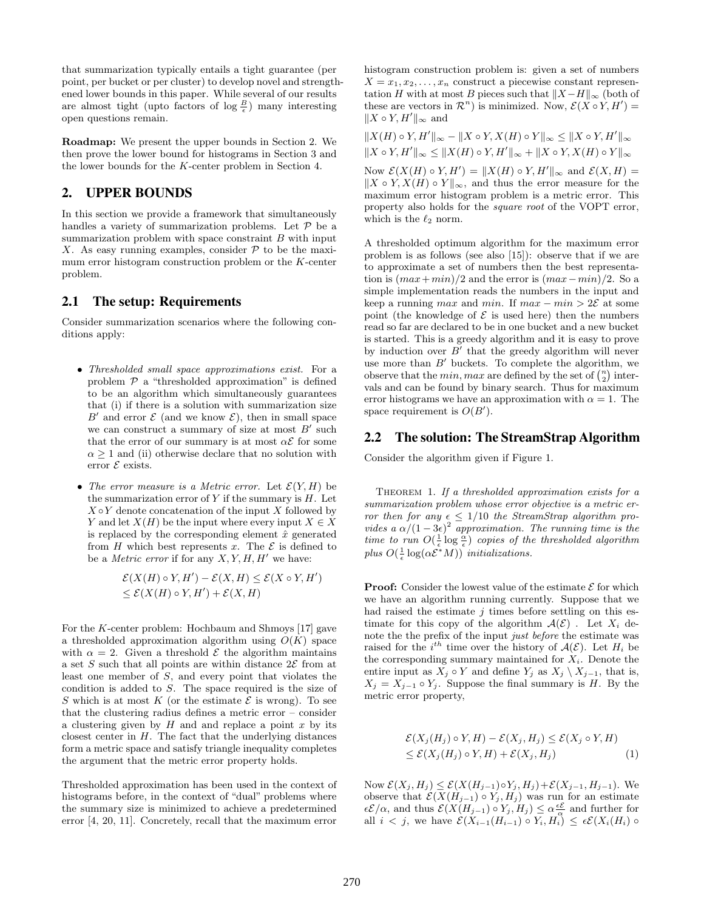that summarization typically entails a tight guarantee (per point, per bucket or per cluster) to develop novel and strengthened lower bounds in this paper. While several of our results are almost tight (upto factors of  $\log \frac{B}{\epsilon}$ ) many interesting open questions remain.

Roadmap: We present the upper bounds in Section 2. We then prove the lower bound for histograms in Section 3 and the lower bounds for the K-center problem in Section 4.

## 2. UPPER BOUNDS

In this section we provide a framework that simultaneously handles a variety of summarization problems. Let  $P$  be a summarization problem with space constraint  $B$  with input X. As easy running examples, consider  $P$  to be the maximum error histogram construction problem or the K-center problem.

## 2.1 The setup: Requirements

Consider summarization scenarios where the following conditions apply:

- Thresholded small space approximations exist. For a problem  $P$  a "thresholded approximation" is defined to be an algorithm which simultaneously guarantees that (i) if there is a solution with summarization size B' and error  $\mathcal E$  (and we know  $\mathcal E$ ), then in small space we can construct a summary of size at most  $B'$  such that the error of our summary is at most  $\alpha \mathcal{E}$  for some  $\alpha \geq 1$  and (ii) otherwise declare that no solution with error  $\mathcal E$  exists.
- The error measure is a Metric error. Let  $\mathcal{E}(Y, H)$  be the summarization error of  $Y$  if the summary is  $H$ . Let  $X \circ Y$  denote concatenation of the input X followed by Y and let  $X(H)$  be the input where every input  $X \in X$ is replaced by the corresponding element  $\hat{x}$  generated from H which best represents x. The  $\mathcal E$  is defined to be a *Metric error* if for any  $X, Y, H, H'$  we have:

$$
\mathcal{E}(X(H) \circ Y, H') - \mathcal{E}(X, H) \le \mathcal{E}(X \circ Y, H')
$$
  

$$
\le \mathcal{E}(X(H) \circ Y, H') + \mathcal{E}(X, H)
$$

For the K-center problem: Hochbaum and Shmoys [17] gave a thresholded approximation algorithm using  $O(K)$  space with  $\alpha = 2$ . Given a threshold  $\mathcal E$  the algorithm maintains a set S such that all points are within distance  $2\mathcal{E}$  from at least one member of S, and every point that violates the condition is added to S. The space required is the size of S which is at most K (or the estimate  $\mathcal E$  is wrong). To see that the clustering radius defines a metric error – consider a clustering given by  $H$  and and replace a point  $x$  by its closest center in  $H$ . The fact that the underlying distances form a metric space and satisfy triangle inequality completes the argument that the metric error property holds.

Thresholded approximation has been used in the context of histograms before, in the context of "dual" problems where the summary size is minimized to achieve a predetermined error [4, 20, 11]. Concretely, recall that the maximum error

histogram construction problem is: given a set of numbers  $X = x_1, x_2, \ldots, x_n$  construct a piecewise constant representation H with at most B pieces such that  $||X-H||_{\infty}$  (both of these are vectors in  $\mathcal{R}^n$ ) is minimized. Now,  $\mathcal{E}(X \circ Y, H') =$  $||X ∘ Y, H'||_{\infty}$  and

 $||X(H) \circ Y, H'||_{\infty} - ||X \circ Y, X(H) \circ Y||_{\infty} \le ||X \circ Y, H'||_{\infty}$  $\|X \circ Y, H'\|_{\infty} \leq \|X(H) \circ Y, H'\|_{\infty} + \|X \circ Y, X(H) \circ Y\|_{\infty}$ 

Now  $\mathcal{E}(X(H) \circ Y, H') = ||X(H) \circ Y, H'||_{\infty}$  and  $\mathcal{E}(X, H) =$  $||X \circ Y, X(H) \circ Y||_{\infty}$ , and thus the error measure for the maximum error histogram problem is a metric error. This property also holds for the square root of the VOPT error, which is the  $\ell_2$  norm.

A thresholded optimum algorithm for the maximum error problem is as follows (see also [15]): observe that if we are to approximate a set of numbers then the best representation is  $(max+min)/2$  and the error is  $(max-min)/2$ . So a simple implementation reads the numbers in the input and keep a running max and min. If  $max - min > 2\mathcal{E}$  at some point (the knowledge of  $\mathcal E$  is used here) then the numbers read so far are declared to be in one bucket and a new bucket is started. This is a greedy algorithm and it is easy to prove by induction over  $B'$  that the greedy algorithm will never use more than  $B'$  buckets. To complete the algorithm, we observe that the  $min, max$  are defined by the set of  $\binom{n}{2}$  intervals and can be found by binary search. Thus for maximum error histograms we have an approximation with  $\alpha = 1$ . The space requirement is  $O(B')$ .

## 2.2 The solution: The StreamStrap Algorithm

Consider the algorithm given if Figure 1.

THEOREM 1. If a thresholded approximation exists for a summarization problem whose error objective is a metric error then for any  $\epsilon \leq 1/10$  the StreamStrap algorithm provides a  $\alpha/(1-3\epsilon)^2$  approximation. The running time is the time to run  $O(\frac{1}{\epsilon} \log \frac{\alpha}{\epsilon})$  copies of the thresholded algorithm plus  $O(\frac{1}{\epsilon} \log(\alpha \mathcal{E}^*M))$  initializations.

**Proof:** Consider the lowest value of the estimate  $\mathcal E$  for which we have an algorithm running currently. Suppose that we had raised the estimate  $j$  times before settling on this estimate for this copy of the algorithm  $\mathcal{A}(\mathcal{E})$ . Let  $X_i$  denote the the prefix of the input just before the estimate was raised for the  $i^{th}$  time over the history of  $\mathcal{A}(\mathcal{E})$ . Let  $H_i$  be the corresponding summary maintained for  $X_i$ . Denote the entire input as  $X_j \circ Y$  and define  $Y_j$  as  $X_j \setminus X_{j-1}$ , that is,  $X_j = X_{j-1} \circ Y_j$ . Suppose the final summary is H. By the metric error property,

$$
\mathcal{E}(X_j(H_j) \circ Y, H) - \mathcal{E}(X_j, H_j) \le \mathcal{E}(X_j \circ Y, H) \le \mathcal{E}(X_j(H_j) \circ Y, H) + \mathcal{E}(X_j, H_j)
$$
 (1)

Now  $\mathcal{E}(X_j, H_j) \leq \mathcal{E}(X(H_{j-1}) \circ Y_j, H_j) + \mathcal{E}(X_{j-1}, H_{j-1}).$  We observe that  $\mathcal{E}(X(H_{j-1}) \circ Y_j, H_j)$  was run for an estimate  $\epsilon \mathcal{E}/\alpha$ , and thus  $\mathcal{E}(X(H_{j-1}) \circ Y_j, H_j) \leq \alpha \frac{\epsilon \mathcal{E}}{\alpha}$  and further for all  $i < j$ , we have  $\mathcal{E}(X_{i-1}(H_{i-1}) \circ Y_i, H_i) \leq \epsilon \mathcal{E}(X_i(H_i) \circ$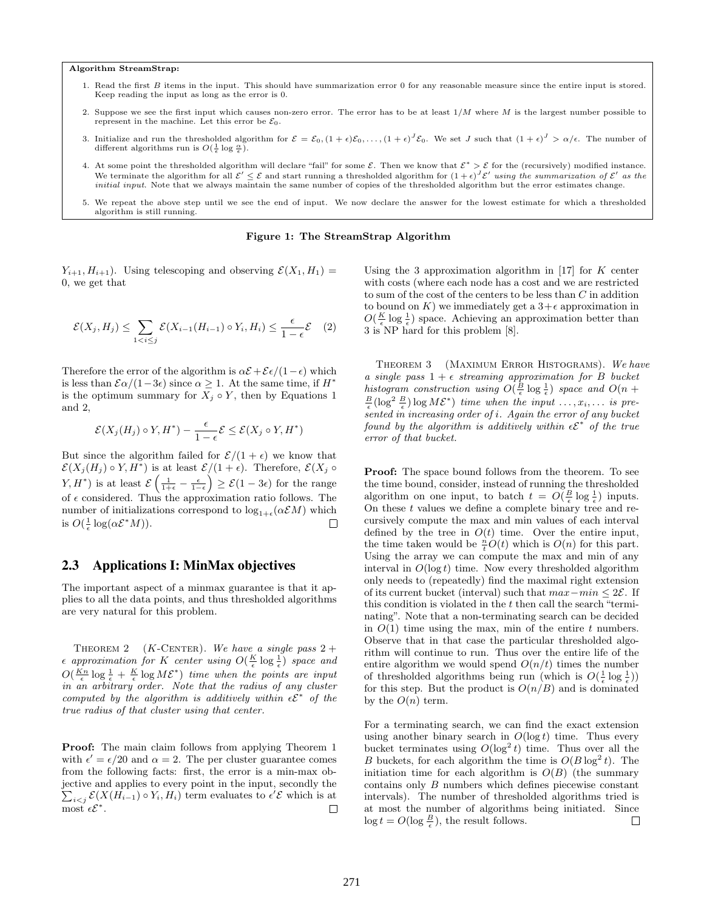#### Algorithm StreamStrap:

- 1. Read the first  $B$  items in the input. This should have summarization error 0 for any reasonable measure since the entire input is stored. Keep reading the input as long as the error is 0.
- 2. Suppose we see the first input which causes non-zero error. The error has to be at least  $1/M$  where M is the largest number possible to represent in the machine. Let this error be  $\mathcal{E}_0$ .
- 3. Initialize and run the thresholded algorithm for  $\mathcal{E} = \mathcal{E}_{0}, (1 + \epsilon)\mathcal{E}_{0}, \ldots, (1 + \epsilon)^{J}\mathcal{E}_{0}$ . We set J such that  $(1 + \epsilon)^{J} > \alpha/\epsilon$ . The number of different algorithms run is  $O(\frac{1}{\epsilon} \log \frac{\alpha}{\epsilon})$ .
- 4. At some point the thresholded algorithm will declare "fail" for some  $\mathcal{E}$ . Then we know that  $\mathcal{E}^* > \mathcal{E}$  for the (recursively) modified instance. We terminate the algorithm for all  $\mathcal{E}' \leq \mathcal{E}$  and start running a thresholded algorithm for  $(1+\epsilon)^J \mathcal{E}'$  using the summarization of  $\mathcal{E}'$  as the initial input. Note that we always maintain the same number of copies of the thresholded algorithm but the error estimates change.
- 5. We repeat the above step until we see the end of input. We now declare the answer for the lowest estimate for which a thresholded algorithm is still running.

#### Figure 1: The StreamStrap Algorithm

 $Y_{i+1}, H_{i+1}$ ). Using telescoping and observing  $\mathcal{E}(X_1, H_1) =$ 0, we get that

$$
\mathcal{E}(X_j, H_j) \leq \sum_{1 < i \leq j} \mathcal{E}(X_{i-1}(H_{i-1}) \circ Y_i, H_i) \leq \frac{\epsilon}{1 - \epsilon} \mathcal{E} \quad (2)
$$

Therefore the error of the algorithm is  $\alpha \mathcal{E} + \mathcal{E} \epsilon/(1-\epsilon)$  which is less than  $\mathcal{E}\alpha/(1-3\epsilon)$  since  $\alpha \geq 1$ . At the same time, if  $H^*$ is the optimum summary for  $X_j \circ Y$ , then by Equations 1 and 2,

$$
\mathcal{E}(X_j(H_j) \circ Y, H^*) - \frac{\epsilon}{1-\epsilon} \mathcal{E} \leq \mathcal{E}(X_j \circ Y, H^*)
$$

But since the algorithm failed for  $\mathcal{E}/(1+\epsilon)$  we know that  $\mathcal{E}(X_j(H_j) \circ Y, H^*)$  is at least  $\mathcal{E}/(1+\epsilon)$ . Therefore,  $\mathcal{E}(X_j \circ$  $(Y, H^*)$  is at least  $\mathcal{E}\left(\frac{1}{1+\epsilon} - \frac{\epsilon}{1-\epsilon}\right) \geq \mathcal{E}(1-3\epsilon)$  for the range of  $\epsilon$  considered. Thus the approximation ratio follows. The number of initializations correspond to  $\log_{1+\epsilon}(\alpha \mathcal{E}M)$  which is  $O(\frac{1}{\epsilon} \log(\alpha \mathcal{E}^*M)).$  $\Box$ 

## 2.3 Applications I: MinMax objectives

The important aspect of a minmax guarantee is that it applies to all the data points, and thus thresholded algorithms are very natural for this problem.

THEOREM 2 (K-CENTER). We have a single pass  $2 +$  $\epsilon$  approximation for K center using  $O(\frac{K}{\epsilon} \log \frac{1}{\epsilon})$  space and  $O(\frac{Kn}{\epsilon} \log \frac{1}{\epsilon} + \frac{K}{\epsilon} \log M \mathcal{E}^*)$  time when the points are input in an arbitrary order. Note that the radius of any cluster computed by the algorithm is additively within  $\epsilon \mathcal{E}^*$  of the true radius of that cluster using that center.

Proof: The main claim follows from applying Theorem 1 with  $\epsilon' = \epsilon/20$  and  $\alpha = 2$ . The per cluster guarantee comes from the following facts: first, the error is a min-max objective and applies to every point in the input, secondly the  $\sum_{i < j} \mathcal{E}(X(H_{i-1}) \circ Y_i, H_i)$  term evaluates to  $\epsilon' \mathcal{E}$  which is at most  $\epsilon \mathcal{E}^*$ .  $\Box$  Using the 3 approximation algorithm in  $[17]$  for K center with costs (where each node has a cost and we are restricted to sum of the cost of the centers to be less than C in addition to bound on K) we immediately get a  $3+\epsilon$  approximation in  $O(\frac{K}{\epsilon} \log \frac{1}{\epsilon})$  space. Achieving an approximation better than 3 is NP hard for this problem [8].

THEOREM 3 (MAXIMUM ERROR HISTOGRAMS). We have a single pass  $1 + \epsilon$  streaming approximation for B bucket histogram construction using  $O(\frac{B}{\epsilon} \log \frac{1}{\epsilon})$  space and  $O(n + \frac{B}{\epsilon})$  $\frac{B}{\epsilon}(\log^2 \frac{B}{\epsilon}) \log M\mathcal{E}^*$  time when the input  $\ldots, x_i, \ldots$  is presented in increasing order of i. Again the error of any bucket found by the algorithm is additively within  $\epsilon \mathcal{E}^*$  of the true error of that bucket.

Proof: The space bound follows from the theorem. To see the time bound, consider, instead of running the thresholded algorithm on one input, to batch  $t = O(\frac{B}{\epsilon} \log \frac{1}{\epsilon})$  inputs. On these  $t$  values we define a complete binary tree and recursively compute the max and min values of each interval defined by the tree in  $O(t)$  time. Over the entire input, the time taken would be  $\frac{n}{t}O(t)$  which is  $O(n)$  for this part. Using the array we can compute the max and min of any interval in  $O(\log t)$  time. Now every thresholded algorithm only needs to (repeatedly) find the maximal right extension of its current bucket (interval) such that  $max-min \leq 2\mathcal{E}$ . If this condition is violated in the t then call the search "terminating". Note that a non-terminating search can be decided in  $O(1)$  time using the max, min of the entire t numbers. Observe that in that case the particular thresholded algorithm will continue to run. Thus over the entire life of the entire algorithm we would spend  $O(n/t)$  times the number of thresholded algorithms being run (which is  $O(\frac{1}{\epsilon} \log \frac{1}{\epsilon}))$ for this step. But the product is  $O(n/B)$  and is dominated by the  $O(n)$  term.

For a terminating search, we can find the exact extension using another binary search in  $O(\log t)$  time. Thus every bucket terminates using  $O(\log^2 t)$  time. Thus over all the B buckets, for each algorithm the time is  $O(B \log^2 t)$ . The initiation time for each algorithm is  $O(B)$  (the summary contains only B numbers which defines piecewise constant intervals). The number of thresholded algorithms tried is at most the number of algorithms being initiated. Since  $\log t = O(\log \frac{B}{\epsilon})$ , the result follows.  $\Box$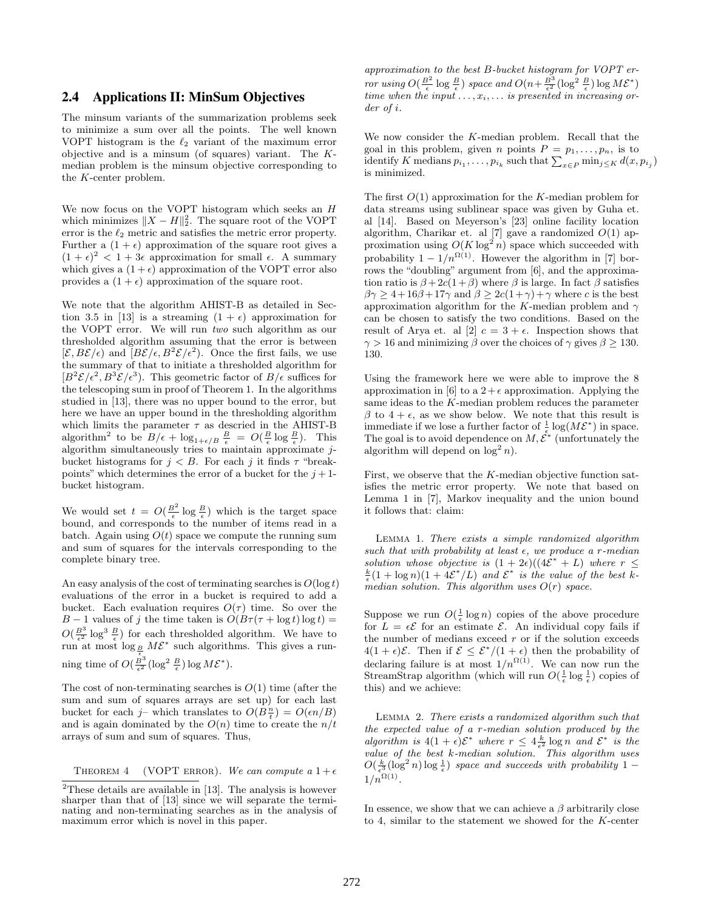## 2.4 Applications II: MinSum Objectives

The minsum variants of the summarization problems seek to minimize a sum over all the points. The well known VOPT histogram is the  $\ell_2$  variant of the maximum error objective and is a minsum (of squares) variant. The Kmedian problem is the minsum objective corresponding to the K-center problem.

We now focus on the VOPT histogram which seeks an  $H$ which minimizes  $||X - H||_2^2$ . The square root of the VOPT error is the  $\ell_2$  metric and satisfies the metric error property. Further a  $(1 + \epsilon)$  approximation of the square root gives a  $(1 + \epsilon)^2 < 1 + 3\epsilon$  approximation for small  $\epsilon$ . A summary which gives a  $(1 + \epsilon)$  approximation of the VOPT error also provides a  $(1 + \epsilon)$  approximation of the square root.

We note that the algorithm AHIST-B as detailed in Section 3.5 in [13] is a streaming  $(1 + \epsilon)$  approximation for the VOPT error. We will run two such algorithm as our thresholded algorithm assuming that the error is between  $[\mathcal{E}, B\mathcal{E}/\epsilon]$  and  $[B\mathcal{E}/\epsilon, B^2\mathcal{E}/\epsilon^2)$ . Once the first fails, we use the summary of that to initiate a thresholded algorithm for  $[B^2 \mathcal{E}/\epsilon^2, B^3 \mathcal{E}/\epsilon^3)$ . This geometric factor of  $B/\epsilon$  suffices for the telescoping sum in proof of Theorem 1. In the algorithms studied in [13], there was no upper bound to the error, but here we have an upper bound in the thresholding algorithm which limits the parameter  $\tau$  as descried in the AHIST-B algorithm<sup>2</sup> to be  $B/\epsilon + \log_{1+\epsilon/B} \frac{B}{\epsilon} = O(\frac{B}{\epsilon} \log \frac{B}{\epsilon})$ . This algorithm simultaneously tries to maintain approximate jbucket histograms for  $j < B$ . For each j it finds  $\tau$  "breakpoints" which determines the error of a bucket for the  $j+1$ bucket histogram.

We would set  $t = O(\frac{B^2}{\epsilon} \log \frac{B}{\epsilon})$  which is the target space bound, and corresponds to the number of items read in a batch. Again using  $O(t)$  space we compute the running sum and sum of squares for the intervals corresponding to the complete binary tree.

An easy analysis of the cost of terminating searches is  $O(\log t)$ evaluations of the error in a bucket is required to add a bucket. Each evaluation requires  $O(\tau)$  time. So over the B − 1 values of j the time taken is  $O(B\tau(\tau + \log t) \log t)$  =  $O(\frac{B^3}{\epsilon^2} \log^3 \frac{B}{\epsilon})$  for each thresholded algorithm. We have to run at most  $\log_{\frac{B}{\epsilon}} M \mathcal{E}^*$  such algorithms. This gives a running time of  $O(\frac{B^3}{\epsilon^2} (\log^2 \frac{B}{\epsilon}) \log M \mathcal{E}^*).$ 

The cost of non-terminating searches is  $O(1)$  time (after the sum and sum of squares arrays are set up) for each last bucket for each  $j$ – which translates to  $O(B_{\frac{n}{t}}^n) = O(\epsilon n/B)$ and is again dominated by the  $O(n)$  time to create the  $n/t$ arrays of sum and sum of squares. Thus,

THEOREM 4 (VOPT ERROR). We can compute a  $1+\epsilon$ 

approximation to the best B-bucket histogram for VOPT error using  $O(\frac{B^2}{\epsilon} \log \frac{B}{\epsilon})$  space and  $O(n + \frac{B^3}{\epsilon^2} (\log^2 \frac{B}{\epsilon}) \log M \mathcal{E}^*)$ time when the input  $\dots, x_i, \dots$  is presented in increasing order of i.

We now consider the K-median problem. Recall that the goal in this problem, given *n* points  $P = p_1, \ldots, p_n$ , is to identify K medians  $p_{i_1}, \ldots, p_{i_k}$  such that  $\sum_{x \in P} \min_{j \leq K} d(x, p_{i_j})$ is minimized.

The first  $O(1)$  approximation for the K-median problem for data streams using sublinear space was given by Guha et. al [14]. Based on Meyerson's [23] online facility location algorithm, Charikar et. al [7] gave a randomized  $O(1)$  approximation using  $O(K \log^2 n)$  space which succeeded with probability  $1 - 1/n^{\Omega(1)}$ . However the algorithm in [7] borrows the "doubling" argument from [6], and the approximation ratio is  $\beta + 2c(1+\beta)$  where  $\beta$  is large. In fact  $\beta$  satisfies  $\beta\gamma \geq 4+16\beta+17\gamma$  and  $\beta \geq 2c(1+\gamma)+\gamma$  where c is the best approximation algorithm for the K-median problem and  $\gamma$ can be chosen to satisfy the two conditions. Based on the result of Arya et. al [2]  $c = 3 + \epsilon$ . Inspection shows that  $\gamma > 16$  and minimizing  $\beta$  over the choices of  $\gamma$  gives  $\beta \geq 130$ . 130.

Using the framework here we were able to improve the 8 approximation in [6] to a  $2+\epsilon$  approximation. Applying the same ideas to the K-median problem reduces the parameter  $β$  to 4 +  $ε$ , as we show below. We note that this result is immediate if we lose a further factor of  $\frac{1}{\epsilon} \log(M\mathcal{E}^*)$  in space. The goal is to avoid dependence on  $M, \mathcal{E}^*$  (unfortunately the algorithm will depend on  $\log^2 n$ .

First, we observe that the K-median objective function satisfies the metric error property. We note that based on Lemma 1 in [7], Markov inequality and the union bound it follows that: claim:

Lemma 1. There exists a simple randomized algorithm such that with probability at least  $\epsilon$ , we produce a r-median solution whose objective is  $(1 + 2\epsilon)((4\mathcal{E}^* + L)$  where  $r \leq$  $\frac{k}{\epsilon}(1 + \log n)(1 + 4\mathcal{E}^*/L)$  and  $\mathcal{E}^*$  is the value of the best kmedian solution. This algorithm uses  $O(r)$  space.

Suppose we run  $O(\frac{1}{\epsilon} \log n)$  copies of the above procedure for  $L = \epsilon \mathcal{E}$  for an estimate  $\mathcal{E}$ . An individual copy fails if the number of medians exceed  $r$  or if the solution exceeds  $4(1+\epsilon)\mathcal{E}$ . Then if  $\mathcal{E} \leq \mathcal{E}^*/(1+\epsilon)$  then the probability of declaring failure is at most  $1/n^{\Omega(1)}$ . We can now run the StreamStrap algorithm (which will run  $O(\frac{1}{\epsilon} \log \frac{1}{\epsilon})$  copies of this) and we achieve:

Lemma 2. There exists a randomized algorithm such that the expected value of a r-median solution produced by the algorithm is  $4(1+\epsilon)\mathcal{E}^*$  where  $r \leq 4\frac{k}{\epsilon^2} \log n$  and  $\mathcal{E}^*$  is the value of the best k-median solution. This algorithm uses  $O(\frac{k}{\epsilon^3}(\log^2 n) \log \frac{1}{\epsilon})$  space and succeeds with probability 1 –  $1/n^{\Omega(1)}$ .

In essence, we show that we can achieve a  $\beta$  arbitrarily close to 4, similar to the statement we showed for the K-center

 $2$ These details are available in [13]. The analysis is however sharper than that of [13] since we will separate the terminating and non-terminating searches as in the analysis of maximum error which is novel in this paper.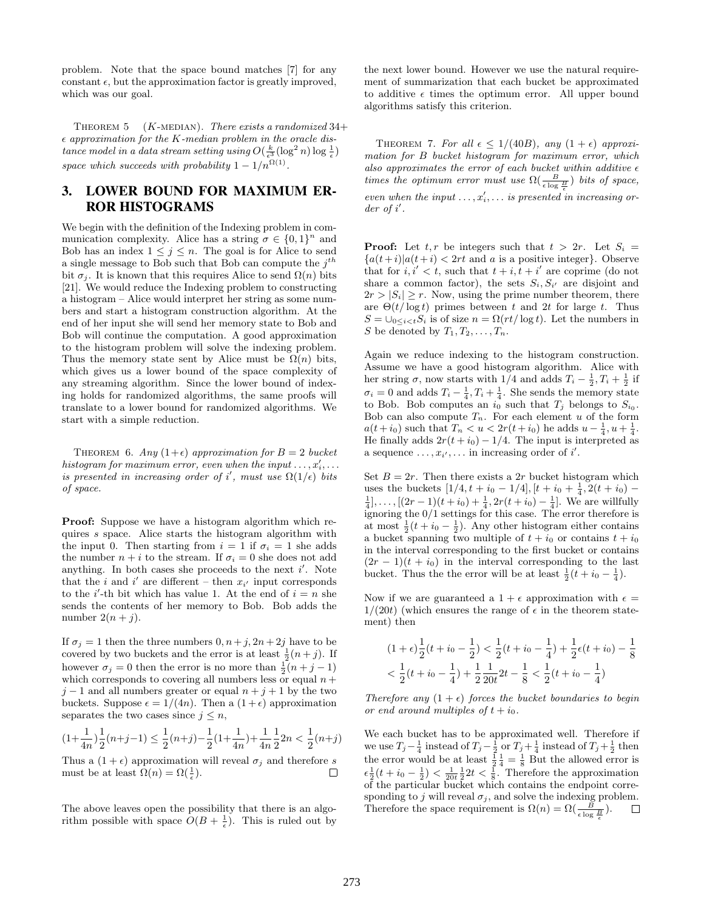problem. Note that the space bound matches [7] for any constant  $\epsilon$ , but the approximation factor is greatly improved, which was our goal.

THEOREM 5 ( $K$ -MEDIAN). There exists a randomized 34+  $\epsilon$  approximation for the K-median problem in the oracle dis $tance\ model\ in\ a\ data\ stream\ setting\ using\ O(\frac{k}{\epsilon^3}(\log^2 n)\log \frac{1}{\epsilon})$ space which succeeds with probability  $1 - 1/n^{\Omega(1)}$ .

# 3. LOWER BOUND FOR MAXIMUM ER-ROR HISTOGRAMS

We begin with the definition of the Indexing problem in communication complexity. Alice has a string  $\sigma \in \{0,1\}^n$  and Bob has an index  $1 \leq j \leq n$ . The goal is for Alice to send a single message to Bob such that Bob can compute the  $j^{th}$ bit  $\sigma_i$ . It is known that this requires Alice to send  $\Omega(n)$  bits [21]. We would reduce the Indexing problem to constructing a histogram – Alice would interpret her string as some numbers and start a histogram construction algorithm. At the end of her input she will send her memory state to Bob and Bob will continue the computation. A good approximation to the histogram problem will solve the indexing problem. Thus the memory state sent by Alice must be  $\Omega(n)$  bits, which gives us a lower bound of the space complexity of any streaming algorithm. Since the lower bound of indexing holds for randomized algorithms, the same proofs will translate to a lower bound for randomized algorithms. We start with a simple reduction.

THEOREM 6. Any  $(1+\epsilon)$  approximation for  $B = 2$  bucket histogram for maximum error, even when the input  $\dots, x_i', \dots$ is presented in increasing order of i', must use  $\Omega(1/\epsilon)$  bits of space.

Proof: Suppose we have a histogram algorithm which requires s space. Alice starts the histogram algorithm with the input 0. Then starting from  $i = 1$  if  $\sigma_i = 1$  she adds the number  $n + i$  to the stream. If  $\sigma_i = 0$  she does not add anything. In both cases she proceeds to the next  $i'$ . Note that the *i* and *i'* are different – then  $x_{i'}$  input corresponds to the *i*'-th bit which has value 1. At the end of  $i = n$  she sends the contents of her memory to Bob. Bob adds the number  $2(n+j)$ .

If  $\sigma_j = 1$  then the three numbers  $0, n + j, 2n + 2j$  have to be covered by two buckets and the error is at least  $\frac{1}{2}(n+j)$ . If however  $\sigma_j = 0$  then the error is no more than  $\frac{1}{2}(n+j-1)$ which corresponds to covering all numbers less or equal  $n +$  $j-1$  and all numbers greater or equal  $n+j+1$  by the two buckets. Suppose  $\epsilon = 1/(4n)$ . Then a  $(1+\epsilon)$  approximation separates the two cases since  $j \leq n$ ,

$$
(1+\frac{1}{4n})\frac{1}{2}(n+j-1) \le \frac{1}{2}(n+j)-\frac{1}{2}(1+\frac{1}{4n})+\frac{1}{4n}\frac{1}{2}2n < \frac{1}{2}(n+j)
$$

Thus a  $(1 + \epsilon)$  approximation will reveal  $\sigma_i$  and therefore s must be at least  $\Omega(n) = \Omega(\frac{1}{\epsilon}).$  $\Box$ 

The above leaves open the possibility that there is an algorithm possible with space  $O(B + \frac{1}{\epsilon})$ . This is ruled out by

the next lower bound. However we use the natural requirement of summarization that each bucket be approximated to additive  $\epsilon$  times the optimum error. All upper bound algorithms satisfy this criterion.

THEOREM 7. For all  $\epsilon \leq 1/(40B)$ , any  $(1+\epsilon)$  approximation for B bucket histogram for maximum error, which also approximates the error of each bucket within additive  $\epsilon$ times the optimum error must use  $\Omega(\frac{B}{\epsilon \log \frac{B}{\epsilon}})$  bits of space, even when the input  $\dots, x_i', \dots$  is presented in increasing or $der of i'.$ 

**Proof:** Let  $t, r$  be integers such that  $t > 2r$ . Let  $S_i =$  ${a(t+i)|a(t+i) < 2rt}$  and a is a positive integer}. Observe that for  $i, i' < t$ , such that  $t + i, t + i'$  are coprime (do not share a common factor), the sets  $S_i, S_{i'}$  are disjoint and  $2r > |S_i| \geq r$ . Now, using the prime number theorem, there are  $\Theta(t/\log t)$  primes between t and 2t for large t. Thus  $S = \bigcup_{0 \leq i < t} S_i$  is of size  $n = \Omega(rt / \log t)$ . Let the numbers in S be denoted by  $T_1, T_2, \ldots, T_n$ .

Again we reduce indexing to the histogram construction. Assume we have a good histogram algorithm. Alice with her string  $\sigma$ , now starts with 1/4 and adds  $T_i - \frac{1}{2}, T_i + \frac{1}{2}$  if  $\sigma_i = 0$  and adds  $T_i - \frac{1}{4}$ ,  $T_i + \frac{1}{4}$ . She sends the memory state to Bob. Bob computes an  $i_0$  such that  $T_j$  belongs to  $S_{i_0}$ . Bob can also compute  $T_n$ . For each element u of the form  $a(t+i_0)$  such that  $T_n < u < 2r(t+i_0)$  he adds  $u - \frac{1}{4}$ ,  $u + \frac{1}{4}$ . He finally adds  $2r(t + i_0) - 1/4$ . The input is interpreted as a sequence  $\dots, x_{i'}, \dots$  in increasing order of i'.

Set  $B = 2r$ . Then there exists a 2r bucket histogram which uses the buckets  $[1/4, t + i_0 - 1/4], [t + i_0 + \frac{1}{4}, 2(t + i_0) \frac{1}{4}$ ,...,  $[(2r-1)(t+i_0)+\frac{1}{4}, 2r(t+i_0)-\frac{1}{4}]$ . We are willfully ignoring the 0/1 settings for this case. The error therefore is at most  $\frac{1}{2}(t + i_0 - \frac{1}{2})$ . Any other histogram either contains a bucket spanning two multiple of  $t + i_0$  or contains  $t + i_0$ in the interval corresponding to the first bucket or contains  $(2r-1)(t + i_0)$  in the interval corresponding to the last bucket. Thus the the error will be at least  $\frac{1}{2}(t + i_0 - \frac{1}{4})$ .

Now if we are guaranteed a  $1 + \epsilon$  approximation with  $\epsilon =$  $1/(20t)$  (which ensures the range of  $\epsilon$  in the theorem statement) then

$$
(1+\epsilon)\frac{1}{2}(t+i_0-\frac{1}{2}) < \frac{1}{2}(t+i_0-\frac{1}{4}) + \frac{1}{2}\epsilon(t+i_0) - \frac{1}{8}
$$
\n
$$
\langle \frac{1}{2}(t+i_0-\frac{1}{4}) + \frac{1}{2}\frac{1}{20t}2t - \frac{1}{8} < \frac{1}{2}(t+i_0-\frac{1}{4})
$$

Therefore any  $(1 + \epsilon)$  forces the bucket boundaries to begin or end around multiples of  $t + i_0$ .

We each bucket has to be approximated well. Therefore if we use  $T_j - \frac{1}{4}$  instead of  $T_j - \frac{1}{2}$  or  $T_j + \frac{1}{4}$  instead of  $T_j + \frac{1}{2}$  then the error would be at least  $\frac{1}{2}$  $\frac{1}{4}$  =  $\frac{1}{8}$  But the allowed error is  $\epsilon \frac{1}{2}(t + i_0 - \frac{1}{2}) < \frac{1}{20t} \frac{1}{2} 2t < \frac{1}{8}$ . Therefore the approximation of the particular bucket which contains the endpoint corresponding to j will reveal  $\sigma_j$ , and solve the indexing problem. Therefore the space requirement is  $\Omega(n) = \Omega(\frac{B}{\epsilon \log \frac{B}{\epsilon}})$ .  $\Box$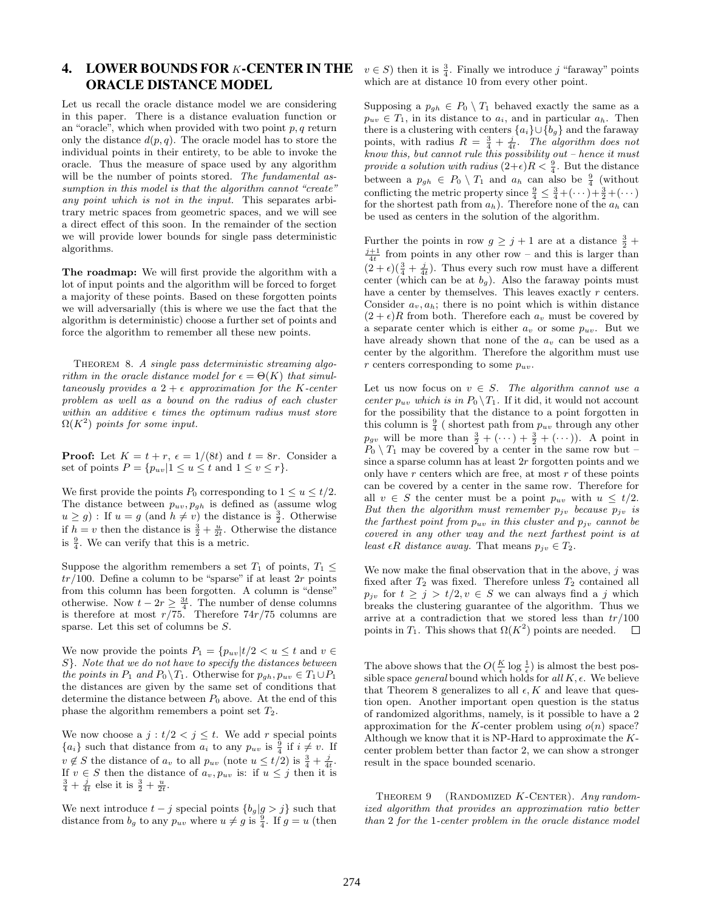# 4. LOWER BOUNDS FOR K-CENTER IN THE ORACLE DISTANCE MODEL

Let us recall the oracle distance model we are considering in this paper. There is a distance evaluation function or an "oracle", which when provided with two point  $p, q$  return only the distance  $d(p, q)$ . The oracle model has to store the individual points in their entirety, to be able to invoke the oracle. Thus the measure of space used by any algorithm will be the number of points stored. The fundamental assumption in this model is that the algorithm cannot "create" any point which is not in the input. This separates arbitrary metric spaces from geometric spaces, and we will see a direct effect of this soon. In the remainder of the section we will provide lower bounds for single pass deterministic algorithms.

The roadmap: We will first provide the algorithm with a lot of input points and the algorithm will be forced to forget a majority of these points. Based on these forgotten points we will adversarially (this is where we use the fact that the algorithm is deterministic) choose a further set of points and force the algorithm to remember all these new points.

THEOREM 8. A single pass deterministic streaming algorithm in the oracle distance model for  $\epsilon = \Theta(K)$  that simultaneously provides a  $2 + \epsilon$  approximation for the K-center problem as well as a bound on the radius of each cluster within an additive  $\epsilon$  times the optimum radius must store  $\Omega(K^2)$  points for some input.

**Proof:** Let  $K = t + r$ ,  $\epsilon = 1/(8t)$  and  $t = 8r$ . Consider a set of points  $P = \{p_{uv} | 1 \le u \le t \text{ and } 1 \le v \le r\}.$ 

We first provide the points  $P_0$  corresponding to  $1 \le u \le t/2$ . The distance between  $p_{uv}, p_{gh}$  is defined as (assume wlog  $u \ge g$ ): If  $u = g$  (and  $h \ne v$ ) the distance is  $\frac{3}{2}$ . Otherwise if  $h = v$  then the distance is  $\frac{3}{2} + \frac{u}{2t}$ . Otherwise the distance is  $\frac{9}{4}$ . We can verify that this is a metric.

Suppose the algorithm remembers a set  $T_1$  of points,  $T_1 \leq$  $tr/100$ . Define a column to be "sparse" if at least  $2r$  points from this column has been forgotten. A column is "dense" otherwise. Now  $t - 2r \geq \frac{3t}{4}$ . The number of dense columns is therefore at most  $r/75$ . Therefore  $74r/75$  columns are sparse. Let this set of columns be S.

We now provide the points  $P_1 = \{p_{uv} | t/2 < u \leq t \text{ and } v \in$ S}. Note that we do not have to specify the distances between the points in  $P_1$  and  $P_0 \backslash T_1$ . Otherwise for  $p_{gh}, p_{uv} \in T_1 \cup P_1$ the distances are given by the same set of conditions that determine the distance between  $P_0$  above. At the end of this phase the algorithm remembers a point set  $T_2$ .

We now choose a  $j : t/2 < j \leq t$ . We add r special points  ${a_i}$  such that distance from  $a_i$  to any  $p_{uv}$  is  $\frac{9}{4}$  if  $i \neq v$ . If  $v \notin S$  the distance of  $a_v$  to all  $p_{uv}$  (note  $u \le t/2$ ) is  $\frac{3}{4} + \frac{j}{4t}$ . If  $v \in S$  then the distance of  $a_v, p_{uv}$  is: if  $u \leq j$  then it is  $\frac{3}{4} + \frac{j}{4t}$  else it is  $\frac{3}{2} + \frac{u}{2t}$ .

We next introduce  $t - j$  special points  ${b_g | g > j}$  such that distance from  $b_g$  to any  $p_{uv}$  where  $u \neq g$  is  $\frac{9}{4}$ . If  $g = u$  (then

 $v \in S$ ) then it is  $\frac{3}{4}$ . Finally we introduce j "faraway" points which are at distance 10 from every other point.

Supposing a  $p_{gh} \in P_0 \setminus T_1$  behaved exactly the same as a  $p_{uv} \in T_1$ , in its distance to  $a_i$ , and in particular  $a_h$ . Then there is a clustering with centers  ${a_i} \cup {b_g}$  and the faraway points, with radius  $R = \frac{3}{4} + \frac{j}{4t}$ . The algorithm does not know this, but cannot rule this possibility out – hence it must provide a solution with radius  $(2+\epsilon)R < \frac{9}{4}$ . But the distance between a  $p_{gh} \in P_0 \setminus T_1$  and  $a_h$  can also be  $\frac{9}{4}$  (without conflicting the metric property since  $\frac{9}{4} \leq \frac{3}{4} + (\cdots) + \frac{3}{2} + (\cdots)$ for the shortest path from  $a_h$ ). Therefore none of the  $a_h$  can be used as centers in the solution of the algorithm.

Further the points in row  $g \geq j+1$  are at a distance  $\frac{3}{2}$  +  $\frac{j+1}{4t}$  from points in any other row – and this is larger than  $(2 + \epsilon)(\frac{3}{4} + \frac{j}{4t})$ . Thus every such row must have a different center (which can be at  $b_q$ ). Also the faraway points must have a center by themselves. This leaves exactly  $r$  centers. Consider  $a_v, a_h$ ; there is no point which is within distance  $(2 + \epsilon)R$  from both. Therefore each  $a_v$  must be covered by a separate center which is either  $a_v$  or some  $p_{uv}$ . But we have already shown that none of the  $a_v$  can be used as a center by the algorithm. Therefore the algorithm must use r centers corresponding to some  $p_{uv}$ .

Let us now focus on  $v \in S$ . The algorithm cannot use a center  $p_{uv}$  which is in  $P_0 \setminus T_1$ . If it did, it would not account for the possibility that the distance to a point forgotten in this column is  $\frac{9}{4}$  (shortest path from  $p_{uv}$  through any other  $p_{gv}$  will be more than  $\frac{3}{2} + (\cdots) + \frac{3}{2} + (\cdots)$ . A point in  $P_0 \setminus T_1$  may be covered by a center in the same row but – since a sparse column has at least 2r forgotten points and we only have  $r$  centers which are free, at most  $r$  of these points can be covered by a center in the same row. Therefore for all  $v \in S$  the center must be a point  $p_{uv}$  with  $u \leq t/2$ . But then the algorithm must remember  $p_{j\nu}$  because  $p_{j\nu}$  is the farthest point from  $p_{uv}$  in this cluster and  $p_{jv}$  cannot be covered in any other way and the next farthest point is at least  $\epsilon R$  distance away. That means  $p_{j\nu} \in T_2$ .

We now make the final observation that in the above,  $j$  was fixed after  $T_2$  was fixed. Therefore unless  $T_2$  contained all  $p_{jv}$  for  $t \geq j > t/2, v \in S$  we can always find a j which breaks the clustering guarantee of the algorithm. Thus we arrive at a contradiction that we stored less than  $tr/100$ points in  $T_1$ . This shows that  $\Omega(K^2)$  points are needed.  $\Box$ 

The above shows that the  $O(\frac{K}{\epsilon} \log \frac{1}{\epsilon})$  is almost the best possible space general bound which holds for all  $K$ ,  $\epsilon$ . We believe that Theorem 8 generalizes to all  $\epsilon, K$  and leave that question open. Another important open question is the status of randomized algorithms, namely, is it possible to have a 2 approximation for the K-center problem using  $o(n)$  space? Although we know that it is NP-Hard to approximate the Kcenter problem better than factor 2, we can show a stronger result in the space bounded scenario.

THEOREM 9 (RANDOMIZED K-CENTER). Any randomized algorithm that provides an approximation ratio better than 2 for the 1-center problem in the oracle distance model